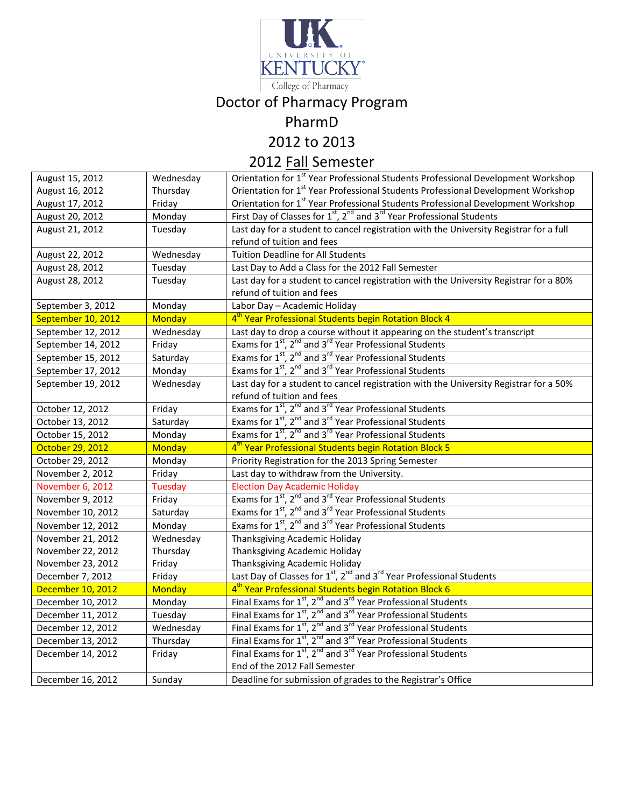

College of Pharmacy

# Doctor of Pharmacy Program

### PharmD

2012 to 2013

## 2012 Fall Semester

| August 15, 2012    | Wednesday      | Orientation for 1 <sup>st</sup> Year Professional Students Professional Development Workshop             |
|--------------------|----------------|----------------------------------------------------------------------------------------------------------|
| August 16, 2012    | Thursday       | Orientation for 1 <sup>st</sup> Year Professional Students Professional Development Workshop             |
| August 17, 2012    | Friday         | Orientation for 1 <sup>st</sup> Year Professional Students Professional Development Workshop             |
| August 20, 2012    | Monday         | First Day of Classes for $1^{st}$ , $2^{nd}$ and $3^{rd}$ Year Professional Students                     |
| August 21, 2012    | Tuesday        | Last day for a student to cancel registration with the University Registrar for a full                   |
|                    |                | refund of tuition and fees                                                                               |
| August 22, 2012    | Wednesday      | <b>Tuition Deadline for All Students</b>                                                                 |
| August 28, 2012    | Tuesday        | Last Day to Add a Class for the 2012 Fall Semester                                                       |
| August 28, 2012    | Tuesday        | Last day for a student to cancel registration with the University Registrar for a 80%                    |
|                    |                | refund of tuition and fees                                                                               |
| September 3, 2012  | Monday         | Labor Day - Academic Holiday                                                                             |
| September 10, 2012 | <b>Monday</b>  | 4 <sup>th</sup> Year Professional Students begin Rotation Block 4                                        |
| September 12, 2012 | Wednesday      | Last day to drop a course without it appearing on the student's transcript                               |
| September 14, 2012 | Friday         | Exams for $1^{st}$ , $2^{nd}$ and $3^{rd}$ Year Professional Students                                    |
| September 15, 2012 | Saturday       | Exams for $1^{st}$ , $2^{nd}$ and $3^{rd}$ Year Professional Students                                    |
| September 17, 2012 | Monday         | Exams for $1^{st}$ , $2^{nd}$ and $3^{rd}$ Year Professional Students                                    |
| September 19, 2012 | Wednesday      | Last day for a student to cancel registration with the University Registrar for a 50%                    |
|                    |                | refund of tuition and fees                                                                               |
| October 12, 2012   | Friday         | Exams for 1 <sup>st</sup> , 2 <sup>nd</sup> and 3 <sup>rd</sup> Year Professional Students               |
| October 13, 2012   | Saturday       | Exams for 1st, 2 <sup>nd</sup> and 3 <sup>rd</sup> Year Professional Students                            |
| October 15, 2012   | Monday         | Exams for 1 <sup>st</sup> , 2 <sup>nd</sup> and 3 <sup>rd</sup> Year Professional Students               |
| October 29, 2012   | <b>Monday</b>  | 4 <sup>th</sup> Year Professional Students begin Rotation Block 5                                        |
| October 29, 2012   | Monday         | Priority Registration for the 2013 Spring Semester                                                       |
| November 2, 2012   | Friday         | Last day to withdraw from the University.                                                                |
| November 6, 2012   | <b>Tuesday</b> | <b>Election Day Academic Holiday</b>                                                                     |
| November 9, 2012   | Friday         | Exams for 1 <sup>st</sup> , 2 <sup>nd</sup> and 3 <sup>rd</sup> Year Professional Students               |
| November 10, 2012  | Saturday       | Exams for 1 <sup>st</sup> , 2 <sup>nd</sup> and 3 <sup>rd</sup> Year Professional Students               |
| November 12, 2012  | Monday         | Exams for 1 <sup>st</sup> , 2 <sup>nd</sup> and 3 <sup>rd</sup> Year Professional Students               |
| November 21, 2012  | Wednesday      | Thanksgiving Academic Holiday                                                                            |
| November 22, 2012  | Thursday       | Thanksgiving Academic Holiday                                                                            |
| November 23, 2012  | Friday         | Thanksgiving Academic Holiday                                                                            |
| December 7, 2012   | Friday         | Last Day of Classes for 1 <sup>st</sup> , 2 <sup>nd</sup> and 3 <sup>rd</sup> Year Professional Students |
| December 10, 2012  | <b>Monday</b>  | 4 <sup>th</sup> Year Professional Students begin Rotation Block 6                                        |
| December 10, 2012  | Monday         | Final Exams for 1 <sup>st</sup> , 2 <sup>nd</sup> and 3 <sup>rd</sup> Year Professional Students         |
| December 11, 2012  | Tuesday        | Final Exams for 1 <sup>st</sup> , 2 <sup>nd</sup> and 3 <sup>rd</sup> Year Professional Students         |
| December 12, 2012  | Wednesday      | Final Exams for 1 <sup>st</sup> , 2 <sup>nd</sup> and 3 <sup>rd</sup> Year Professional Students         |
| December 13, 2012  | Thursday       | Final Exams for 1 <sup>st</sup> , 2 <sup>nd</sup> and 3 <sup>rd</sup> Year Professional Students         |
| December 14, 2012  |                |                                                                                                          |
|                    | Friday         | Final Exams for $1^{st}$ , $2^{nd}$ and $3^{rd}$ Year Professional Students                              |
|                    |                | End of the 2012 Fall Semester                                                                            |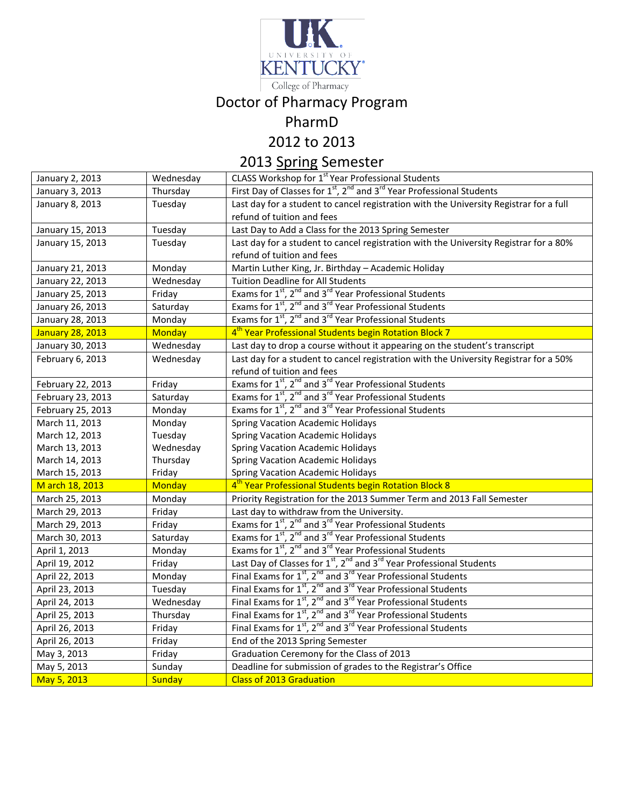

## College of Pharmacy

# Doctor of Pharmacy Program

### PharmD

2012 to 2013

# 2013 Spring Semester

| January 2, 2013         | Wednesday     | CLASS Workshop for 1 <sup>st</sup> Year Professional Students                                             |
|-------------------------|---------------|-----------------------------------------------------------------------------------------------------------|
| January 3, 2013         | Thursday      | First Day of Classes for 1 <sup>st</sup> , 2 <sup>nd</sup> and 3 <sup>rd</sup> Year Professional Students |
| January 8, 2013         | Tuesday       | Last day for a student to cancel registration with the University Registrar for a full                    |
|                         |               | refund of tuition and fees                                                                                |
| January 15, 2013        | Tuesday       | Last Day to Add a Class for the 2013 Spring Semester                                                      |
| January 15, 2013        | Tuesday       | Last day for a student to cancel registration with the University Registrar for a 80%                     |
|                         |               | refund of tuition and fees                                                                                |
| January 21, 2013        | Monday        | Martin Luther King, Jr. Birthday - Academic Holiday                                                       |
| January 22, 2013        | Wednesday     | <b>Tuition Deadline for All Students</b>                                                                  |
| January 25, 2013        | Friday        | Exams for 1 <sup>st</sup> , 2 <sup>nd</sup> and 3 <sup>rd</sup> Year Professional Students                |
| January 26, 2013        | Saturday      | Exams for 1 <sup>st</sup> , 2 <sup>nd</sup> and 3 <sup>rd</sup> Year Professional Students                |
| January 28, 2013        | Monday        | Exams for 1 <sup>st</sup> , 2 <sup>nd</sup> and 3 <sup>rd</sup> Year Professional Students                |
| <b>January 28, 2013</b> | <b>Monday</b> | 4 <sup>th</sup> Year Professional Students begin Rotation Block 7                                         |
| January 30, 2013        | Wednesday     | Last day to drop a course without it appearing on the student's transcript                                |
| February 6, 2013        | Wednesday     | Last day for a student to cancel registration with the University Registrar for a 50%                     |
|                         |               | refund of tuition and fees                                                                                |
| February 22, 2013       | Friday        | Exams for 1 <sup>st</sup> , 2 <sup>nd</sup> and 3 <sup>rd</sup> Year Professional Students                |
| February 23, 2013       | Saturday      | Exams for 1 <sup>st</sup> , 2 <sup>nd</sup> and 3 <sup>rd</sup> Year Professional Students                |
| February 25, 2013       | Monday        | Exams for 1 <sup>st</sup> , 2 <sup>nd</sup> and 3 <sup>rd</sup> Year Professional Students                |
| March 11, 2013          | Monday        | <b>Spring Vacation Academic Holidays</b>                                                                  |
| March 12, 2013          | Tuesday       | <b>Spring Vacation Academic Holidays</b>                                                                  |
| March 13, 2013          | Wednesday     | <b>Spring Vacation Academic Holidays</b>                                                                  |
| March 14, 2013          | Thursday      | <b>Spring Vacation Academic Holidays</b>                                                                  |
| March 15, 2013          | Friday        | <b>Spring Vacation Academic Holidays</b>                                                                  |
| M arch 18, 2013         | <b>Monday</b> | 4 <sup>th</sup> Year Professional Students begin Rotation Block 8                                         |
| March 25, 2013          | Monday        | Priority Registration for the 2013 Summer Term and 2013 Fall Semester                                     |
| March 29, 2013          | Friday        | Last day to withdraw from the University.                                                                 |
| March 29, 2013          | Friday        | Exams for $1^{st}$ , $2^{nd}$ and $3^{rd}$ Year Professional Students                                     |
| March 30, 2013          | Saturday      | Exams for 1 <sup>st</sup> , 2 <sup>nd</sup> and 3 <sup>rd</sup> Year Professional Students                |
| April 1, 2013           | Monday        | Exams for 1 <sup>st</sup> , 2 <sup>nd</sup> and 3 <sup>rd</sup> Year Professional Students                |
| April 19, 2012          | Friday        | Last Day of Classes for 1 <sup>st</sup> , 2 <sup>nd</sup> and 3 <sup>rd</sup> Year Professional Students  |
| April 22, 2013          | Monday        | Final Exams for 1 <sup>st</sup> , 2 <sup>nd</sup> and 3 <sup>rd</sup> Year Professional Students          |
| April 23, 2013          | Tuesday       | Final Exams for $1^{st}$ , $2^{nd}$ and $3^{rd}$ Year Professional Students                               |
| April 24, 2013          | Wednesday     | Final Exams for 1 <sup>st</sup> , 2 <sup>nd</sup> and 3 <sup>rd</sup> Year Professional Students          |
| April 25, 2013          | Thursday      | Final Exams for 1 <sup>st</sup> , 2 <sup>nd</sup> and 3 <sup>rd</sup> Year Professional Students          |
| April 26, 2013          | Friday        | Final Exams for $1st$ , $2nd$ and $3rd$ Year Professional Students                                        |
| April 26, 2013          | Friday        | End of the 2013 Spring Semester                                                                           |
| May 3, 2013             | Friday        | Graduation Ceremony for the Class of 2013                                                                 |
| May 5, 2013             | Sunday        | Deadline for submission of grades to the Registrar's Office                                               |
| May 5, 2013             | <b>Sunday</b> | <b>Class of 2013 Graduation</b>                                                                           |